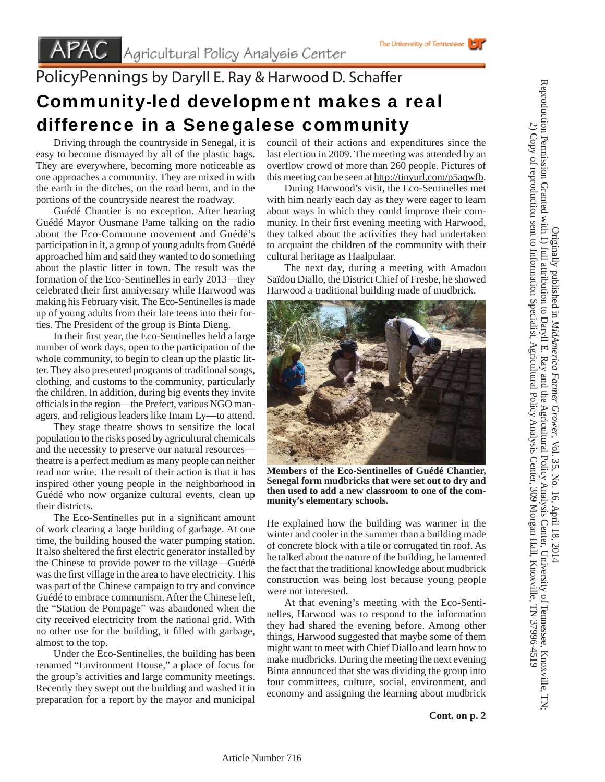## PolicyPennings by Daryll E. Ray & Harwood D. Schaffer Community-led development makes a real difference in a Senegalese community

 Driving through the countryside in Senegal, it is easy to become dismayed by all of the plastic bags. They are everywhere, becoming more noticeable as one approaches a community. They are mixed in with the earth in the ditches, on the road berm, and in the portions of the countryside nearest the roadway.

 Guédé Chantier is no exception. After hearing Guédé Mayor Ousmane Pame talking on the radio about the Eco-Commune movement and Guédé's participation in it, a group of young adults from Guédé approached him and said they wanted to do something about the plastic litter in town. The result was the formation of the Eco-Sentinelles in early 2013—they celebrated their first anniversary while Harwood was making his February visit. The Eco-Sentinelles is made up of young adults from their late teens into their forties. The President of the group is Binta Dieng.

In their first year, the Eco-Sentinelles held a large number of work days, open to the participation of the whole community, to begin to clean up the plastic litter. They also presented programs of traditional songs, clothing, and customs to the community, particularly the children. In addition, during big events they invite officials in the region—the Prefect, various NGO managers, and religious leaders like Imam Ly—to attend.

 They stage theatre shows to sensitize the local population to the risks posed by agricultural chemicals and the necessity to preserve our natural resources theatre is a perfect medium as many people can neither read nor write. The result of their action is that it has inspired other young people in the neighborhood in Guédé who now organize cultural events, clean up their districts.

The Eco-Sentinelles put in a significant amount of work clearing a large building of garbage. At one time, the building housed the water pumping station. It also sheltered the first electric generator installed by the Chinese to provide power to the village—Guédé was the first village in the area to have electricity. This was part of the Chinese campaign to try and convince Guédé to embrace communism. After the Chinese left, the "Station de Pompage" was abandoned when the city received electricity from the national grid. With no other use for the building, it filled with garbage, almost to the top.

 Under the Eco-Sentinelles, the building has been renamed "Environment House," a place of focus for the group's activities and large community meetings. Recently they swept out the building and washed it in preparation for a report by the mayor and municipal

council of their actions and expenditures since the last election in 2009. The meeting was attended by an overflow crowd of more than 260 people. Pictures of this meeting can be seen at http://tinyurl.com/p5aqwfb.

 During Harwood's visit, the Eco-Sentinelles met with him nearly each day as they were eager to learn about ways in which they could improve their community. In their first evening meeting with Harwood, they talked about the activities they had undertaken to acquaint the children of the community with their cultural heritage as Haalpulaar.

 The next day, during a meeting with Amadou Saïdou Diallo, the District Chief of Fresbe, he showed Harwood a traditional building made of mudbrick.



**Members of the Eco-Sentinelles of Guédé Chantier, Senegal form mudbricks that were set out to dry and then used to add a new classroom to one of the community's elementary schools.** 

He explained how the building was warmer in the winter and cooler in the summer than a building made of concrete block with a tile or corrugated tin roof. As he talked about the nature of the building, he lamented the fact that the traditional knowledge about mudbrick construction was being lost because young people were not interested.

 At that evening's meeting with the Eco-Sentinelles, Harwood was to respond to the information they had shared the evening before. Among other things, Harwood suggested that maybe some of them might want to meet with Chief Diallo and learn how to make mudbricks. During the meeting the next evening Binta announced that she was dividing the group into four committees, culture, social, environment, and economy and assigning the learning about mudbrick